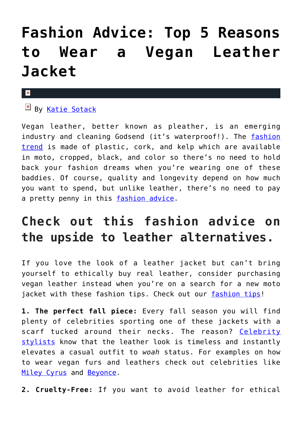## **[Fashion Advice: Top 5 Reasons](https://cupidspulse.com/131829/fashion-advice-top-5-reasons-wear-vegan-leather-jacket/) [to Wear a Vegan Leather](https://cupidspulse.com/131829/fashion-advice-top-5-reasons-wear-vegan-leather-jacket/) [Jacket](https://cupidspulse.com/131829/fashion-advice-top-5-reasons-wear-vegan-leather-jacket/)**

## $\mathbf{x}$

**EX By [Katie Sotack](http://cupidspulse.com/131001/katie-sotack/)** 

Vegan leather, better known as pleather, is an emerging industry and cleaning Godsend (it's waterproof!). The [fashion](http://cupidspulse.com/?s=fashion+trend) [trend](http://cupidspulse.com/?s=fashion+trend) is made of plastic, cork, and kelp which are available in moto, cropped, black, and color so there's no need to hold back your fashion dreams when you're wearing one of these baddies. Of course, quality and longevity depend on how much you want to spend, but unlike leather, there's no need to pay a pretty penny in this [fashion advice](http://cupidspulse.com/?s=fashion+advice).

## **Check out this fashion advice on the upside to leather alternatives.**

If you love the look of a leather jacket but can't bring yourself to ethically buy real leather, consider purchasing vegan leather instead when you're on a search for a new moto jacket with these fashion tips. Check out our [fashion tips!](http://cupidspulse.com/?s=fashion+tips)

**1. The perfect fall piece:** Every fall season you will find plenty of celebrities sporting one of these jackets with a scarf tucked around their necks. The reason? [Celebrity](http://cupidspulse.com/?s=celebrity+stylists) [stylists](http://cupidspulse.com/?s=celebrity+stylists) know that the leather look is timeless and instantly elevates a casual outfit to *woah* status. For examples on how to wear vegan furs and leathers check out celebrities like [Miley Cyrus](http://cupidspulse.com/86089/miley-cyrus/) and [Beyonce](http://cupidspulse.com/86087/beyonce/).

**2. Cruelty-Free:** If you want to avoid leather for ethical